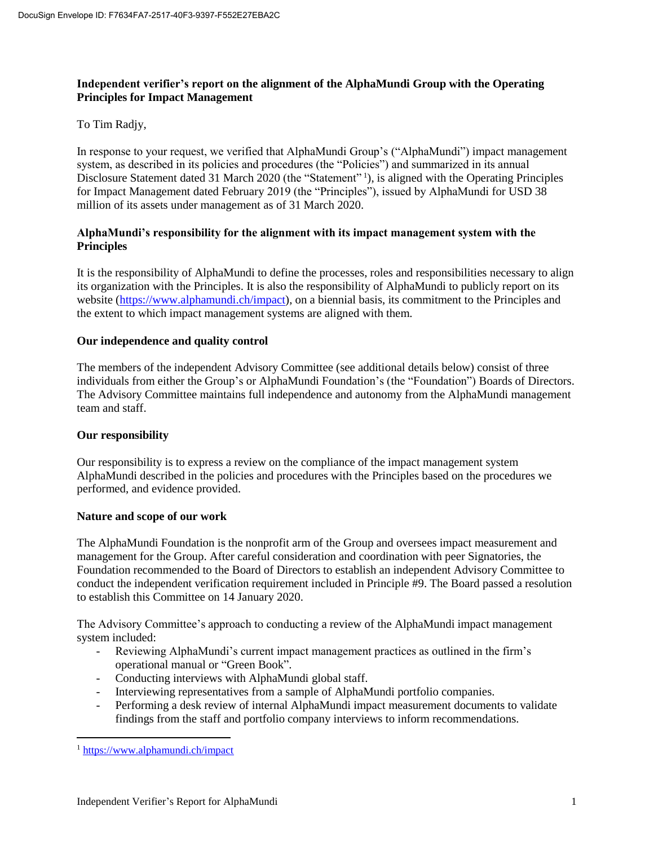# **Independent verifier's report on the alignment of the AlphaMundi Group with the Operating Principles for Impact Management**

# To Tim Radjy,

In response to your request, we verified that AlphaMundi Group's ("AlphaMundi") impact management system, as described in its policies and procedures (the "Policies") and summarized in its annual Disclosure Statement dated 31 March 2020 (the "Statement"<sup>1</sup>), is aligned with the Operating Principles for Impact Management dated February 2019 (the "Principles"), issued by AlphaMundi for USD 38 million of its assets under management as of 31 March 2020.

### **AlphaMundi's responsibility for the alignment with its impact management system with the Principles**

It is the responsibility of AlphaMundi to define the processes, roles and responsibilities necessary to align its organization with the Principles. It is also the responsibility of AlphaMundi to publicly report on its website [\(https://www.alphamundi.ch/impact\)](https://www.alphamundi.ch/impact), on a biennial basis, its commitment to the Principles and the extent to which impact management systems are aligned with them.

### **Our independence and quality control**

The members of the independent Advisory Committee (see additional details below) consist of three individuals from either the Group's or AlphaMundi Foundation's (the "Foundation") Boards of Directors. The Advisory Committee maintains full independence and autonomy from the AlphaMundi management team and staff.

### **Our responsibility**

Our responsibility is to express a review on the compliance of the impact management system AlphaMundi described in the policies and procedures with the Principles based on the procedures we performed, and evidence provided.

### **Nature and scope of our work**

The AlphaMundi Foundation is the nonprofit arm of the Group and oversees impact measurement and management for the Group. After careful consideration and coordination with peer Signatories, the Foundation recommended to the Board of Directors to establish an independent Advisory Committee to conduct the independent verification requirement included in Principle #9. The Board passed a resolution to establish this Committee on 14 January 2020.

The Advisory Committee's approach to conducting a review of the AlphaMundi impact management system included:

- Reviewing AlphaMundi's current impact management practices as outlined in the firm's operational manual or "Green Book".
- Conducting interviews with AlphaMundi global staff.
- Interviewing representatives from a sample of AlphaMundi portfolio companies.
- Performing a desk review of internal AlphaMundi impact measurement documents to validate findings from the staff and portfolio company interviews to inform recommendations.

 $\overline{a}$ 

<sup>&</sup>lt;sup>1</sup> <https://www.alphamundi.ch/impact>